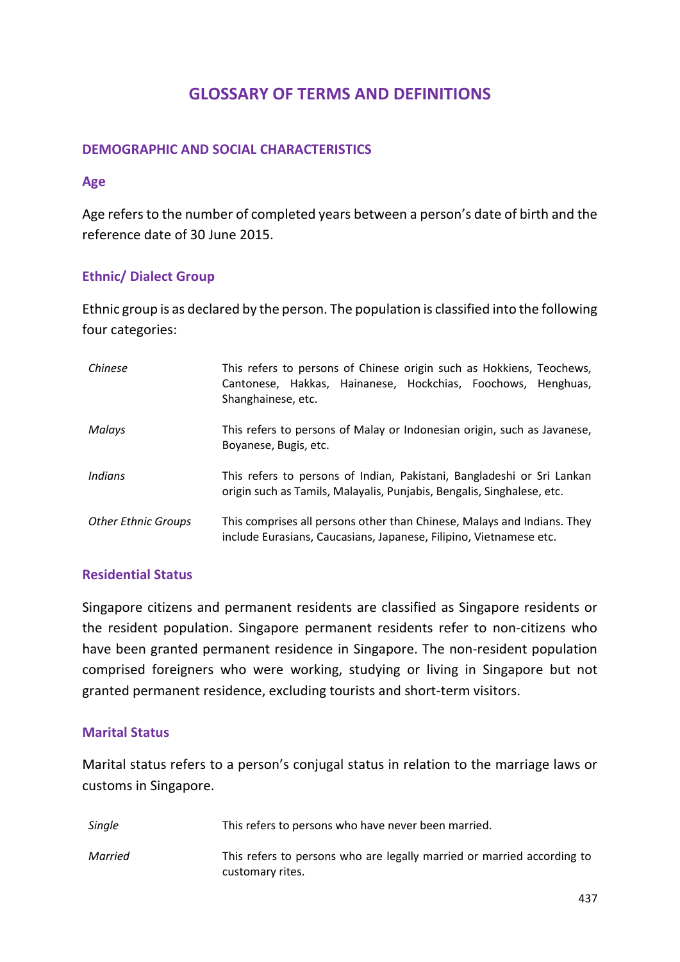# **GLOSSARY OF TERMS AND DEFINITIONS**

### **DEMOGRAPHIC AND SOCIAL CHARACTERISTICS**

#### **Age**

Age refers to the number of completed years between a person's date of birth and the reference date of 30 June 2015.

# **Ethnic/ Dialect Group**

Ethnic group is as declared by the person. The population is classified into the following four categories:

| Chinese                    | This refers to persons of Chinese origin such as Hokkiens, Teochews,<br>Cantonese, Hakkas, Hainanese, Hockchias, Foochows, Henghuas,<br>Shanghainese, etc. |
|----------------------------|------------------------------------------------------------------------------------------------------------------------------------------------------------|
| Malays                     | This refers to persons of Malay or Indonesian origin, such as Javanese,<br>Boyanese, Bugis, etc.                                                           |
| Indians                    | This refers to persons of Indian, Pakistani, Bangladeshi or Sri Lankan<br>origin such as Tamils, Malayalis, Punjabis, Bengalis, Singhalese, etc.           |
| <b>Other Ethnic Groups</b> | This comprises all persons other than Chinese, Malays and Indians. They<br>include Eurasians, Caucasians, Japanese, Filipino, Vietnamese etc.              |

### **Residential Status**

Singapore citizens and permanent residents are classified as Singapore residents or the resident population. Singapore permanent residents refer to non-citizens who have been granted permanent residence in Singapore. The non-resident population comprised foreigners who were working, studying or living in Singapore but not granted permanent residence, excluding tourists and short-term visitors.

### **Marital Status**

Marital status refers to a person's conjugal status in relation to the marriage laws or customs in Singapore.

| Single  | This refers to persons who have never been married.                                        |
|---------|--------------------------------------------------------------------------------------------|
| Married | This refers to persons who are legally married or married according to<br>customary rites. |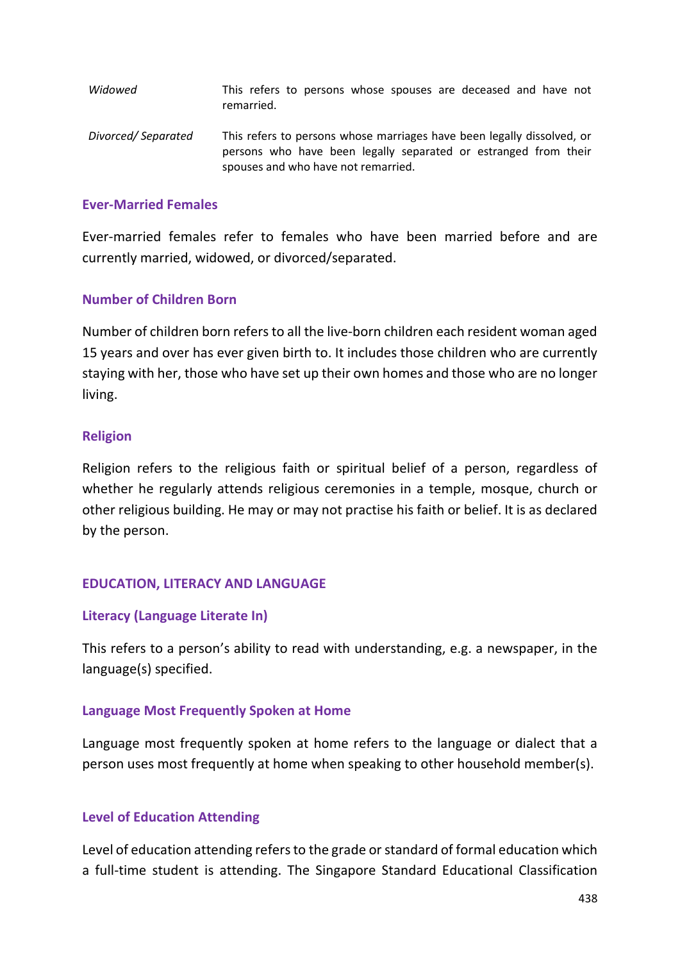| Widowed            | This refers to persons whose spouses are deceased and have not<br>remarried.                                                                                                     |
|--------------------|----------------------------------------------------------------------------------------------------------------------------------------------------------------------------------|
| Divorced/Separated | This refers to persons whose marriages have been legally dissolved, or<br>persons who have been legally separated or estranged from their<br>spouses and who have not remarried. |

### **Ever-Married Females**

Ever-married females refer to females who have been married before and are currently married, widowed, or divorced/separated.

# **Number of Children Born**

Number of children born refers to all the live-born children each resident woman aged 15 years and over has ever given birth to. It includes those children who are currently staying with her, those who have set up their own homes and those who are no longer living.

### **Religion**

Religion refers to the religious faith or spiritual belief of a person, regardless of whether he regularly attends religious ceremonies in a temple, mosque, church or other religious building. He may or may not practise his faith or belief. It is as declared by the person.

# **EDUCATION, LITERACY AND LANGUAGE**

# **Literacy (Language Literate In)**

This refers to a person's ability to read with understanding, e.g. a newspaper, in the language(s) specified.

### **Language Most Frequently Spoken at Home**

Language most frequently spoken at home refers to the language or dialect that a person uses most frequently at home when speaking to other household member(s).

# **Level of Education Attending**

Level of education attending refers to the grade or standard of formal education which a full-time student is attending. The Singapore Standard Educational Classification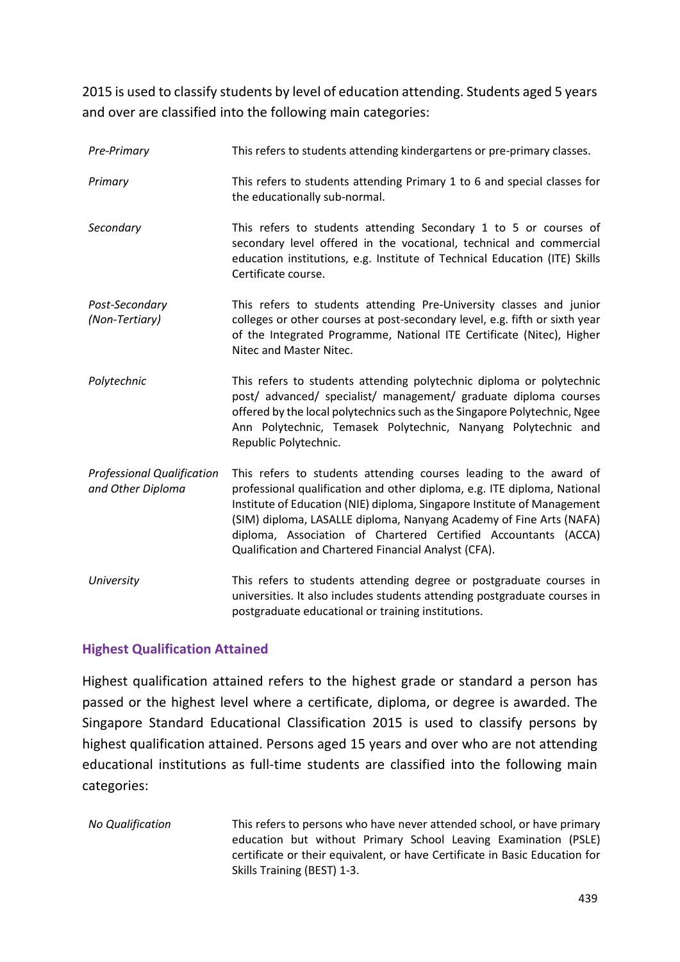2015 is used to classify students by level of education attending. Students aged 5 years and over are classified into the following main categories:

| Pre-Primary                                            | This refers to students attending kindergartens or pre-primary classes.                                                                                                                                                                                                                                                                                                                                                   |
|--------------------------------------------------------|---------------------------------------------------------------------------------------------------------------------------------------------------------------------------------------------------------------------------------------------------------------------------------------------------------------------------------------------------------------------------------------------------------------------------|
| Primary                                                | This refers to students attending Primary 1 to 6 and special classes for<br>the educationally sub-normal.                                                                                                                                                                                                                                                                                                                 |
| Secondary                                              | This refers to students attending Secondary 1 to 5 or courses of<br>secondary level offered in the vocational, technical and commercial<br>education institutions, e.g. Institute of Technical Education (ITE) Skills<br>Certificate course.                                                                                                                                                                              |
| Post-Secondary<br>(Non-Tertiary)                       | This refers to students attending Pre-University classes and junior<br>colleges or other courses at post-secondary level, e.g. fifth or sixth year<br>of the Integrated Programme, National ITE Certificate (Nitec), Higher<br>Nitec and Master Nitec.                                                                                                                                                                    |
| Polytechnic                                            | This refers to students attending polytechnic diploma or polytechnic<br>post/ advanced/ specialist/ management/ graduate diploma courses<br>offered by the local polytechnics such as the Singapore Polytechnic, Ngee<br>Ann Polytechnic, Temasek Polytechnic, Nanyang Polytechnic and<br>Republic Polytechnic.                                                                                                           |
| <b>Professional Qualification</b><br>and Other Diploma | This refers to students attending courses leading to the award of<br>professional qualification and other diploma, e.g. ITE diploma, National<br>Institute of Education (NIE) diploma, Singapore Institute of Management<br>(SIM) diploma, LASALLE diploma, Nanyang Academy of Fine Arts (NAFA)<br>diploma, Association of Chartered Certified Accountants (ACCA)<br>Qualification and Chartered Financial Analyst (CFA). |
| University                                             | This refers to students attending degree or postgraduate courses in<br>universities. It also includes students attending postgraduate courses in<br>postgraduate educational or training institutions.                                                                                                                                                                                                                    |

# **Highest Qualification Attained**

Highest qualification attained refers to the highest grade or standard a person has passed or the highest level where a certificate, diploma, or degree is awarded. The Singapore Standard Educational Classification 2015 is used to classify persons by highest qualification attained. Persons aged 15 years and over who are not attending educational institutions as full-time students are classified into the following main categories:

*No Qualification* This refers to persons who have never attended school, or have primary education but without Primary School Leaving Examination (PSLE) certificate or their equivalent, or have Certificate in Basic Education for Skills Training (BEST) 1-3.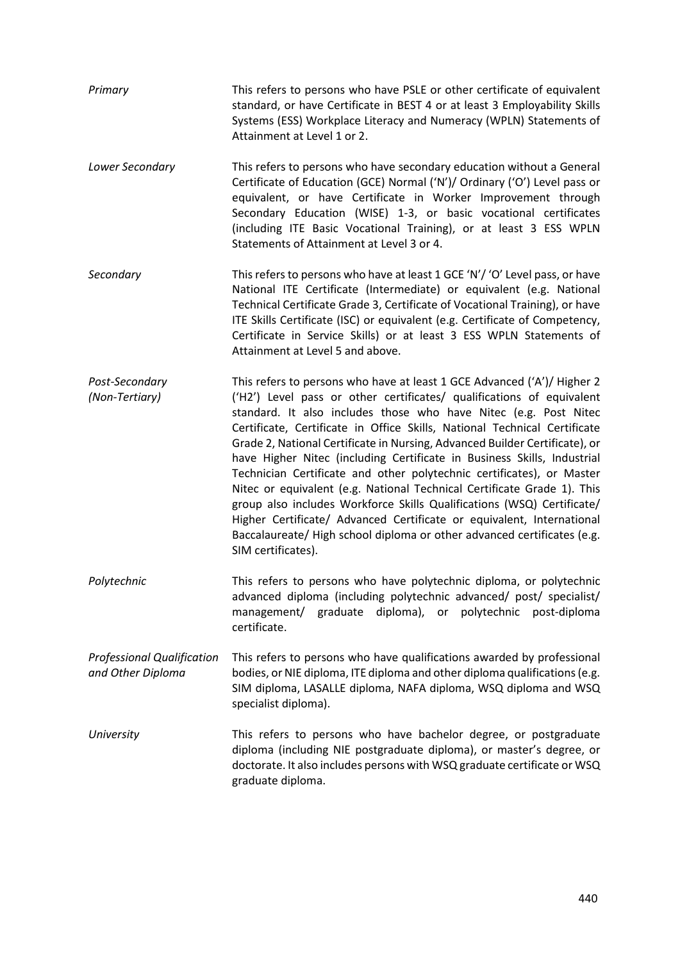| Primary                                                | This refers to persons who have PSLE or other certificate of equivalent<br>standard, or have Certificate in BEST 4 or at least 3 Employability Skills<br>Systems (ESS) Workplace Literacy and Numeracy (WPLN) Statements of<br>Attainment at Level 1 or 2.                                                                                                                                                                                                                                                                                                                                                                                                                                                                                                                                                                                                          |
|--------------------------------------------------------|---------------------------------------------------------------------------------------------------------------------------------------------------------------------------------------------------------------------------------------------------------------------------------------------------------------------------------------------------------------------------------------------------------------------------------------------------------------------------------------------------------------------------------------------------------------------------------------------------------------------------------------------------------------------------------------------------------------------------------------------------------------------------------------------------------------------------------------------------------------------|
| Lower Secondary                                        | This refers to persons who have secondary education without a General<br>Certificate of Education (GCE) Normal ('N')/ Ordinary ('O') Level pass or<br>equivalent, or have Certificate in Worker Improvement through<br>Secondary Education (WISE) 1-3, or basic vocational certificates<br>(including ITE Basic Vocational Training), or at least 3 ESS WPLN<br>Statements of Attainment at Level 3 or 4.                                                                                                                                                                                                                                                                                                                                                                                                                                                           |
| Secondary                                              | This refers to persons who have at least 1 GCE 'N'/ 'O' Level pass, or have<br>National ITE Certificate (Intermediate) or equivalent (e.g. National<br>Technical Certificate Grade 3, Certificate of Vocational Training), or have<br>ITE Skills Certificate (ISC) or equivalent (e.g. Certificate of Competency,<br>Certificate in Service Skills) or at least 3 ESS WPLN Statements of<br>Attainment at Level 5 and above.                                                                                                                                                                                                                                                                                                                                                                                                                                        |
| Post-Secondary<br>(Non-Tertiary)                       | This refers to persons who have at least 1 GCE Advanced ('A')/ Higher 2<br>('H2') Level pass or other certificates/ qualifications of equivalent<br>standard. It also includes those who have Nitec (e.g. Post Nitec<br>Certificate, Certificate in Office Skills, National Technical Certificate<br>Grade 2, National Certificate in Nursing, Advanced Builder Certificate), or<br>have Higher Nitec (including Certificate in Business Skills, Industrial<br>Technician Certificate and other polytechnic certificates), or Master<br>Nitec or equivalent (e.g. National Technical Certificate Grade 1). This<br>group also includes Workforce Skills Qualifications (WSQ) Certificate/<br>Higher Certificate/ Advanced Certificate or equivalent, International<br>Baccalaureate/ High school diploma or other advanced certificates (e.g.<br>SIM certificates). |
| Polytechnic                                            | This refers to persons who have polytechnic diploma, or polytechnic<br>advanced diploma (including polytechnic advanced/ post/ specialist/<br>graduate<br>diploma), or<br>polytechnic<br>management/<br>post-diploma<br>certificate.                                                                                                                                                                                                                                                                                                                                                                                                                                                                                                                                                                                                                                |
| <b>Professional Qualification</b><br>and Other Diploma | This refers to persons who have qualifications awarded by professional<br>bodies, or NIE diploma, ITE diploma and other diploma qualifications (e.g.<br>SIM diploma, LASALLE diploma, NAFA diploma, WSQ diploma and WSQ<br>specialist diploma).                                                                                                                                                                                                                                                                                                                                                                                                                                                                                                                                                                                                                     |
| University                                             | This refers to persons who have bachelor degree, or postgraduate<br>diploma (including NIE postgraduate diploma), or master's degree, or<br>doctorate. It also includes persons with WSQ graduate certificate or WSQ<br>graduate diploma.                                                                                                                                                                                                                                                                                                                                                                                                                                                                                                                                                                                                                           |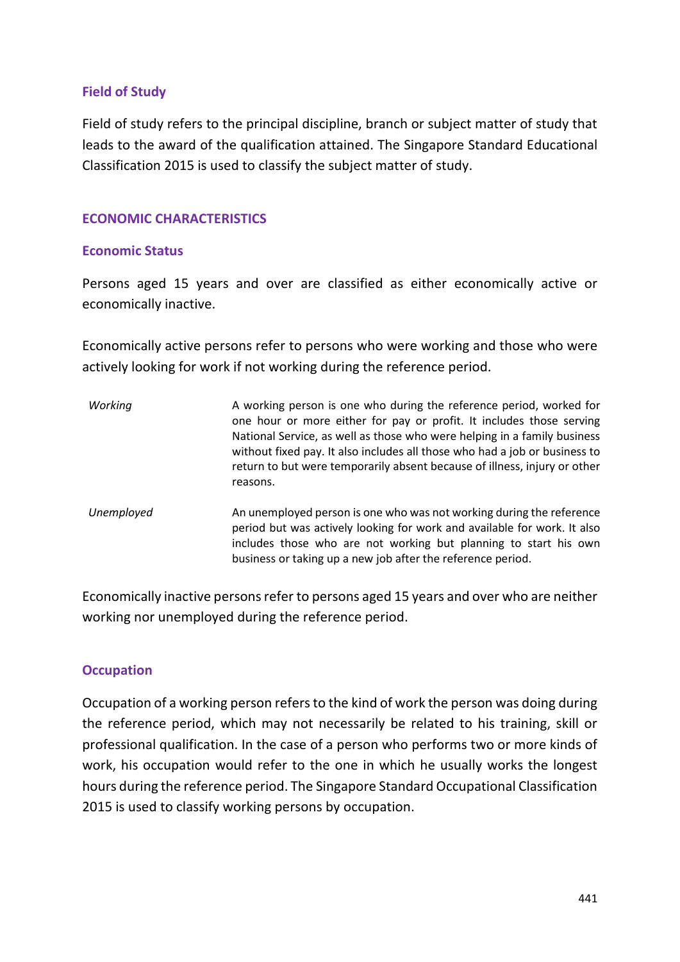# **Field of Study**

Field of study refers to the principal discipline, branch or subject matter of study that leads to the award of the qualification attained. The Singapore Standard Educational Classification 2015 is used to classify the subject matter of study.

# **ECONOMIC CHARACTERISTICS**

### **Economic Status**

Persons aged 15 years and over are classified as either economically active or economically inactive.

Economically active persons refer to persons who were working and those who were actively looking for work if not working during the reference period.

| Working    | A working person is one who during the reference period, worked for<br>one hour or more either for pay or profit. It includes those serving<br>National Service, as well as those who were helping in a family business<br>without fixed pay. It also includes all those who had a job or business to<br>return to but were temporarily absent because of illness, injury or other<br>reasons. |
|------------|------------------------------------------------------------------------------------------------------------------------------------------------------------------------------------------------------------------------------------------------------------------------------------------------------------------------------------------------------------------------------------------------|
| Unemployed | An unemployed person is one who was not working during the reference<br>period but was actively looking for work and available for work. It also<br>includes those who are not working but planning to start his own<br>business or taking up a new job after the reference period.                                                                                                            |

Economically inactive persons refer to persons aged 15 years and over who are neither working nor unemployed during the reference period.

# **Occupation**

Occupation of a working person refers to the kind of work the person was doing during the reference period, which may not necessarily be related to his training, skill or professional qualification. In the case of a person who performs two or more kinds of work, his occupation would refer to the one in which he usually works the longest hours during the reference period. The Singapore Standard Occupational Classification 2015 is used to classify working persons by occupation.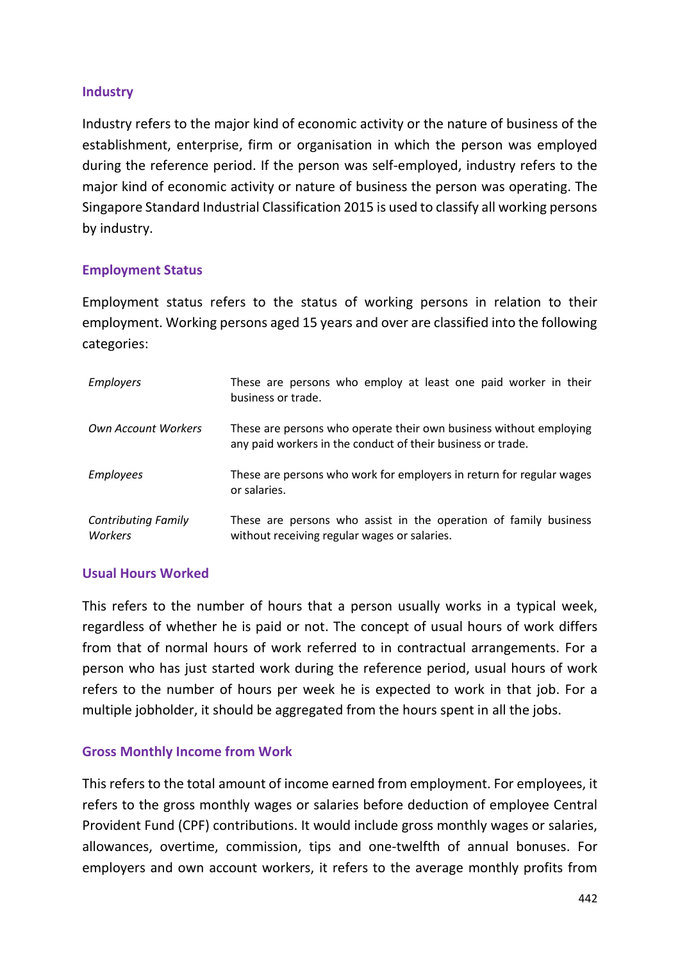# **Industry**

Industry refers to the major kind of economic activity or the nature of business of the establishment, enterprise, firm or organisation in which the person was employed during the reference period. If the person was self-employed, industry refers to the major kind of economic activity or nature of business the person was operating. The Singapore Standard Industrial Classification 2015 is used to classify all working persons by industry.

# **Employment Status**

Employment status refers to the status of working persons in relation to their employment. Working persons aged 15 years and over are classified into the following categories:

| <b>Employers</b>                      | These are persons who employ at least one paid worker in their<br>business or trade.                                              |
|---------------------------------------|-----------------------------------------------------------------------------------------------------------------------------------|
| <b>Own Account Workers</b>            | These are persons who operate their own business without employing<br>any paid workers in the conduct of their business or trade. |
| <b>Employees</b>                      | These are persons who work for employers in return for regular wages<br>or salaries.                                              |
| <b>Contributing Family</b><br>Workers | These are persons who assist in the operation of family business<br>without receiving regular wages or salaries.                  |

# **Usual Hours Worked**

This refers to the number of hours that a person usually works in a typical week, regardless of whether he is paid or not. The concept of usual hours of work differs from that of normal hours of work referred to in contractual arrangements. For a person who has just started work during the reference period, usual hours of work refers to the number of hours per week he is expected to work in that job. For a multiple jobholder, it should be aggregated from the hours spent in all the jobs.

# **Gross Monthly Income from Work**

This refers to the total amount of income earned from employment. For employees, it refers to the gross monthly wages or salaries before deduction of employee Central Provident Fund (CPF) contributions. It would include gross monthly wages or salaries, allowances, overtime, commission, tips and one-twelfth of annual bonuses. For employers and own account workers, it refers to the average monthly profits from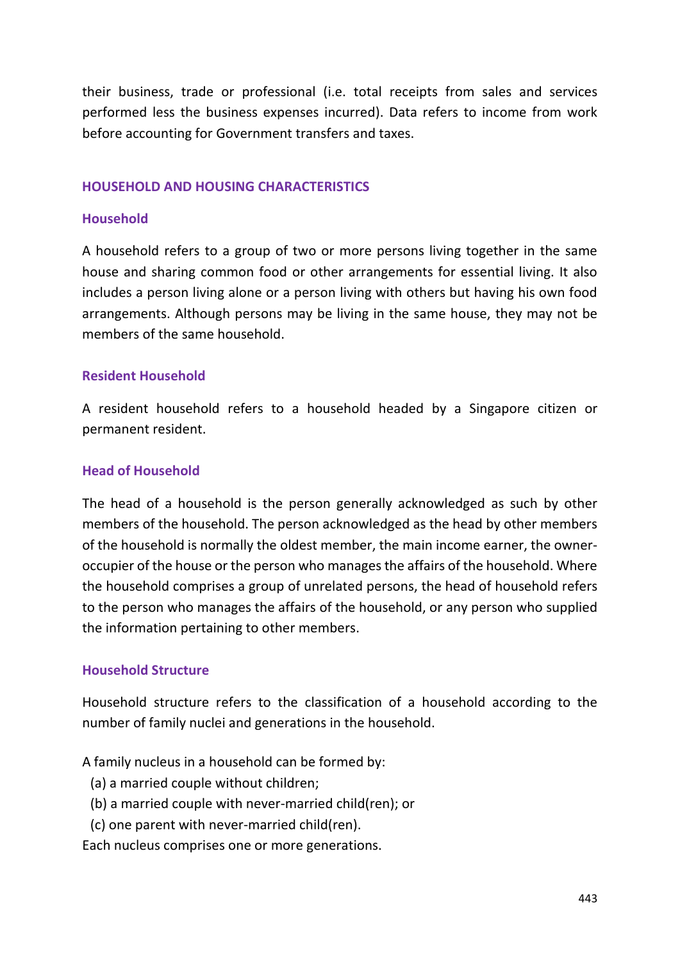their business, trade or professional (i.e. total receipts from sales and services performed less the business expenses incurred). Data refers to income from work before accounting for Government transfers and taxes.

### **HOUSEHOLD AND HOUSING CHARACTERISTICS**

# **Household**

A household refers to a group of two or more persons living together in the same house and sharing common food or other arrangements for essential living. It also includes a person living alone or a person living with others but having his own food arrangements. Although persons may be living in the same house, they may not be members of the same household.

# **Resident Household**

A resident household refers to a household headed by a Singapore citizen or permanent resident.

# **Head of Household**

The head of a household is the person generally acknowledged as such by other members of the household. The person acknowledged as the head by other members of the household is normally the oldest member, the main income earner, the owneroccupier of the house or the person who manages the affairs of the household. Where the household comprises a group of unrelated persons, the head of household refers to the person who manages the affairs of the household, or any person who supplied the information pertaining to other members.

### **Household Structure**

Household structure refers to the classification of a household according to the number of family nuclei and generations in the household.

A family nucleus in a household can be formed by:

- (a) a married couple without children;
- (b) a married couple with never-married child(ren); or
- (c) one parent with never-married child(ren).

Each nucleus comprises one or more generations.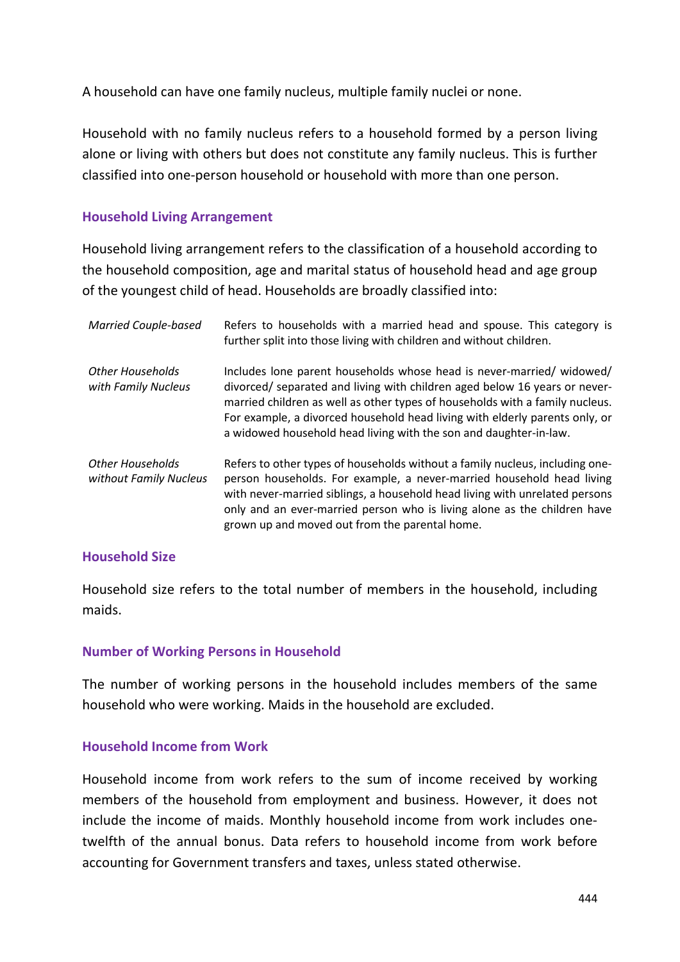A household can have one family nucleus, multiple family nuclei or none.

Household with no family nucleus refers to a household formed by a person living alone or living with others but does not constitute any family nucleus. This is further classified into one-person household or household with more than one person.

### **Household Living Arrangement**

Household living arrangement refers to the classification of a household according to the household composition, age and marital status of household head and age group of the youngest child of head. Households are broadly classified into:

| <b>Married Couple-based</b>                | Refers to households with a married head and spouse. This category is<br>further split into those living with children and without children.                                                                                                                                                                                                                                           |
|--------------------------------------------|----------------------------------------------------------------------------------------------------------------------------------------------------------------------------------------------------------------------------------------------------------------------------------------------------------------------------------------------------------------------------------------|
| Other Households<br>with Family Nucleus    | Includes lone parent households whose head is never-married/widowed/<br>divorced/ separated and living with children aged below 16 years or never-<br>married children as well as other types of households with a family nucleus.<br>For example, a divorced household head living with elderly parents only, or<br>a widowed household head living with the son and daughter-in-law. |
| Other Households<br>without Family Nucleus | Refers to other types of households without a family nucleus, including one-<br>person households. For example, a never-married household head living<br>with never-married siblings, a household head living with unrelated persons<br>only and an ever-married person who is living alone as the children have<br>grown up and moved out from the parental home.                     |

### **Household Size**

Household size refers to the total number of members in the household, including maids.

### **Number of Working Persons in Household**

The number of working persons in the household includes members of the same household who were working. Maids in the household are excluded.

### **Household Income from Work**

Household income from work refers to the sum of income received by working members of the household from employment and business. However, it does not include the income of maids. Monthly household income from work includes onetwelfth of the annual bonus. Data refers to household income from work before accounting for Government transfers and taxes, unless stated otherwise.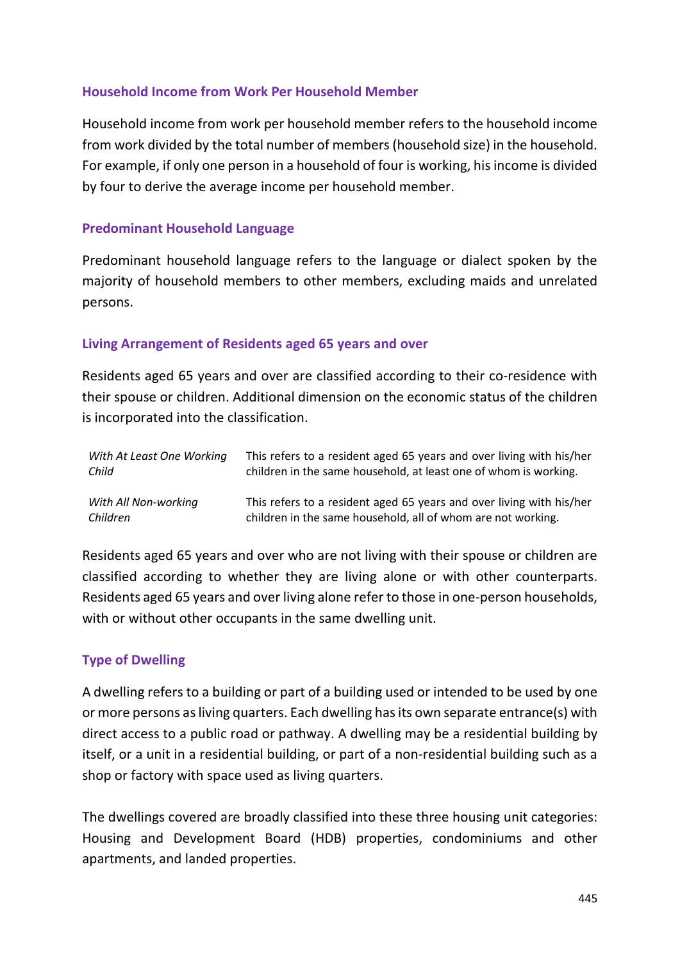# **Household Income from Work Per Household Member**

Household income from work per household member refers to the household income from work divided by the total number of members (household size) in the household. For example, if only one person in a household of four is working, his income is divided by four to derive the average income per household member.

# **Predominant Household Language**

Predominant household language refers to the language or dialect spoken by the majority of household members to other members, excluding maids and unrelated persons.

# **Living Arrangement of Residents aged 65 years and over**

Residents aged 65 years and over are classified according to their co-residence with their spouse or children. Additional dimension on the economic status of the children is incorporated into the classification.

| With At Least One Working | This refers to a resident aged 65 years and over living with his/her |
|---------------------------|----------------------------------------------------------------------|
| Child                     | children in the same household, at least one of whom is working.     |
| With All Non-working      | This refers to a resident aged 65 years and over living with his/her |
| Children                  | children in the same household, all of whom are not working.         |

Residents aged 65 years and over who are not living with their spouse or children are classified according to whether they are living alone or with other counterparts. Residents aged 65 years and over living alone refer to those in one-person households, with or without other occupants in the same dwelling unit.

# **Type of Dwelling**

A dwelling refers to a building or part of a building used or intended to be used by one or more persons as living quarters. Each dwelling has its own separate entrance(s) with direct access to a public road or pathway. A dwelling may be a residential building by itself, or a unit in a residential building, or part of a non-residential building such as a shop or factory with space used as living quarters.

The dwellings covered are broadly classified into these three housing unit categories: Housing and Development Board (HDB) properties, condominiums and other apartments, and landed properties.